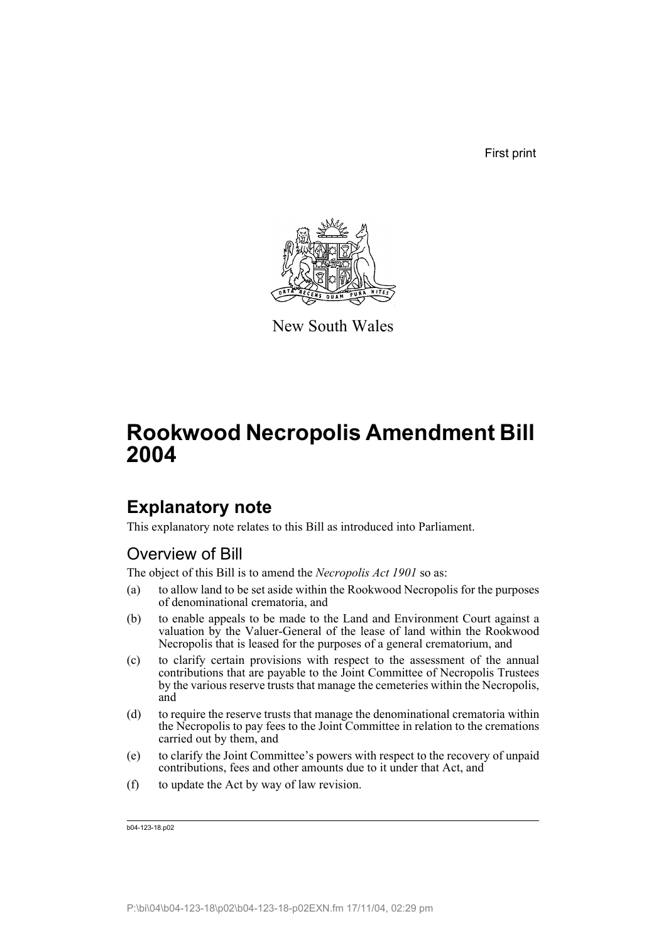First print



New South Wales

# **Rookwood Necropolis Amendment Bill 2004**

## **Explanatory note**

This explanatory note relates to this Bill as introduced into Parliament.

## Overview of Bill

The object of this Bill is to amend the *Necropolis Act 1901* so as:

- (a) to allow land to be set aside within the Rookwood Necropolis for the purposes of denominational crematoria, and
- (b) to enable appeals to be made to the Land and Environment Court against a valuation by the Valuer-General of the lease of land within the Rookwood Necropolis that is leased for the purposes of a general crematorium, and
- (c) to clarify certain provisions with respect to the assessment of the annual contributions that are payable to the Joint Committee of Necropolis Trustees by the various reserve trusts that manage the cemeteries within the Necropolis, and
- (d) to require the reserve trusts that manage the denominational crematoria within the Necropolis to pay fees to the Joint Committee in relation to the cremations carried out by them, and
- (e) to clarify the Joint Committee's powers with respect to the recovery of unpaid contributions, fees and other amounts due to it under that Act, and
- (f) to update the Act by way of law revision.

b04-123-18.p02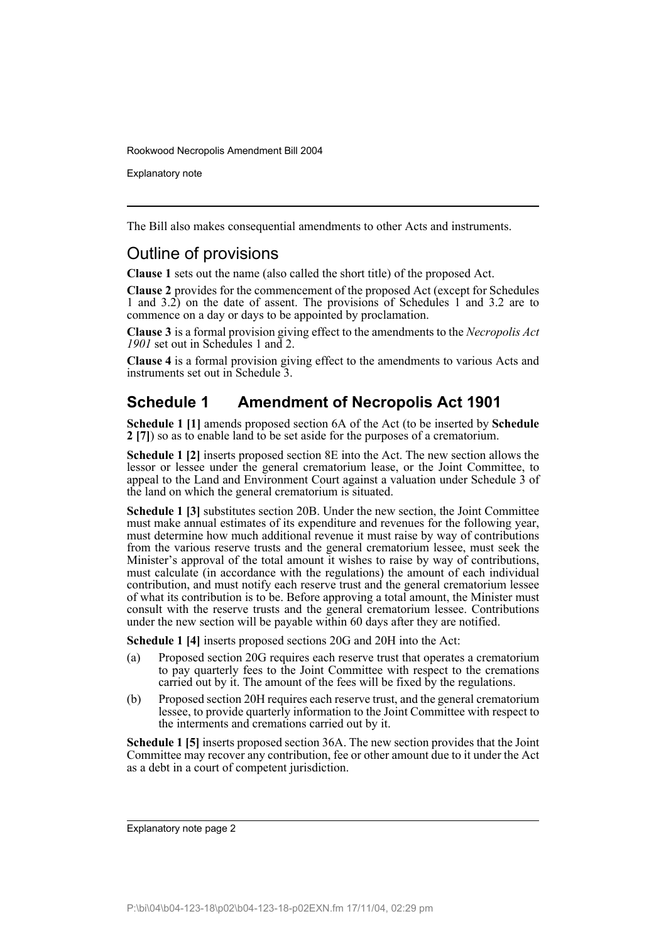Explanatory note

The Bill also makes consequential amendments to other Acts and instruments.

## Outline of provisions

**Clause 1** sets out the name (also called the short title) of the proposed Act.

**Clause 2** provides for the commencement of the proposed Act (except for Schedules 1 and  $3.2$ ) on the date of assent. The provisions of Schedules 1 and  $3.2$  are to commence on a day or days to be appointed by proclamation.

**Clause 3** is a formal provision giving effect to the amendments to the *Necropolis Act 1901* set out in Schedules 1 and 2.

**Clause 4** is a formal provision giving effect to the amendments to various Acts and instruments set out in Schedule 3.

## **Schedule 1 Amendment of Necropolis Act 1901**

**Schedule 1 [1]** amends proposed section 6A of the Act (to be inserted by **Schedule 2 [7]**) so as to enable land to be set aside for the purposes of a crematorium.

**Schedule 1 [2]** inserts proposed section 8E into the Act. The new section allows the lessor or lessee under the general crematorium lease, or the Joint Committee, to appeal to the Land and Environment Court against a valuation under Schedule 3 of the land on which the general crematorium is situated.

**Schedule 1 [3]** substitutes section 20B. Under the new section, the Joint Committee must make annual estimates of its expenditure and revenues for the following year, must determine how much additional revenue it must raise by way of contributions from the various reserve trusts and the general crematorium lessee, must seek the Minister's approval of the total amount it wishes to raise by way of contributions, must calculate (in accordance with the regulations) the amount of each individual contribution, and must notify each reserve trust and the general crematorium lessee of what its contribution is to be. Before approving a total amount, the Minister must consult with the reserve trusts and the general crematorium lessee. Contributions under the new section will be payable within 60 days after they are notified.

**Schedule 1 [4]** inserts proposed sections 20G and 20H into the Act:

- (a) Proposed section 20G requires each reserve trust that operates a crematorium to pay quarterly fees to the Joint Committee with respect to the cremations carried out by it. The amount of the fees will be fixed by the regulations.
- (b) Proposed section 20H requires each reserve trust, and the general crematorium lessee, to provide quarterly information to the Joint Committee with respect to the interments and cremations carried out by it.

**Schedule 1 [5]** inserts proposed section 36A. The new section provides that the Joint Committee may recover any contribution, fee or other amount due to it under the Act as a debt in a court of competent jurisdiction.

Explanatory note page 2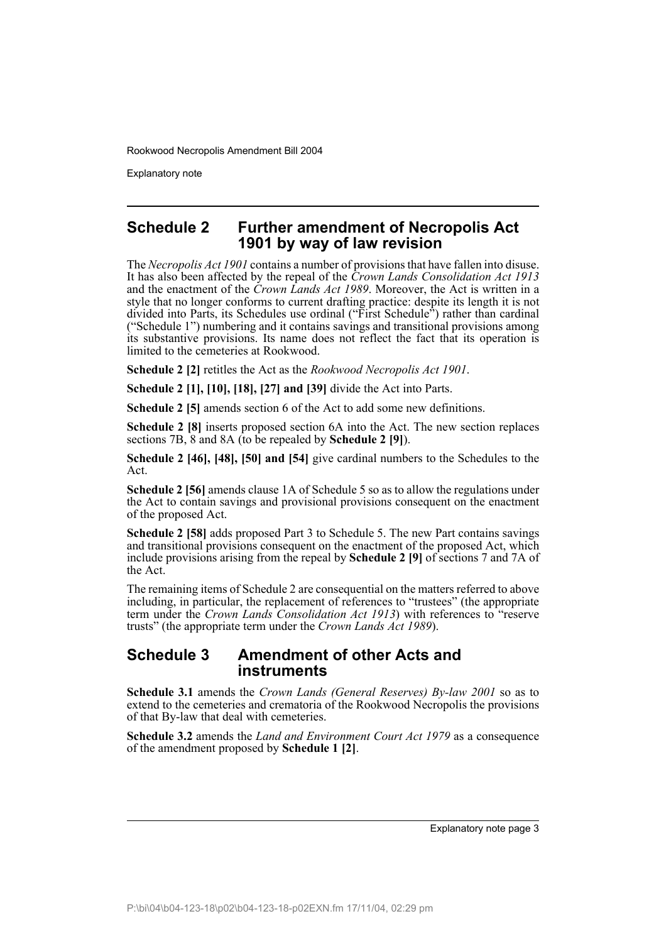Explanatory note

#### **Schedule 2 Further amendment of Necropolis Act 1901 by way of law revision**

The *Necropolis Act 1901* contains a number of provisions that have fallen into disuse. It has also been affected by the repeal of the *Crown Lands Consolidation Act 1913* and the enactment of the *Crown Lands Act 1989*. Moreover, the Act is written in a style that no longer conforms to current drafting practice: despite its length it is not divided into Parts, its Schedules use ordinal ("First Schedule") rather than cardinal ("Schedule 1") numbering and it contains savings and transitional provisions among its substantive provisions. Its name does not reflect the fact that its operation is limited to the cemeteries at Rookwood.

**Schedule 2 [2]** retitles the Act as the *Rookwood Necropolis Act 1901*.

**Schedule 2 [1], [10], [18], [27] and [39]** divide the Act into Parts.

**Schedule 2 [5]** amends section 6 of the Act to add some new definitions.

**Schedule 2 [8]** inserts proposed section 6A into the Act. The new section replaces sections 7B, 8 and 8A (to be repealed by **Schedule 2 [9]**).

**Schedule 2 [46], [48], [50] and [54]** give cardinal numbers to the Schedules to the Act.

**Schedule 2 [56]** amends clause 1A of Schedule 5 so as to allow the regulations under the Act to contain savings and provisional provisions consequent on the enactment of the proposed Act.

**Schedule 2 [58]** adds proposed Part 3 to Schedule 5. The new Part contains savings and transitional provisions consequent on the enactment of the proposed Act, which include provisions arising from the repeal by **Schedule 2 [9]** of sections 7 and 7A of the Act.

The remaining items of Schedule 2 are consequential on the matters referred to above including, in particular, the replacement of references to "trustees" (the appropriate term under the *Crown Lands Consolidation Act 1913*) with references to "reserve trusts" (the appropriate term under the *Crown Lands Act 1989*).

#### **Schedule 3 Amendment of other Acts and instruments**

**Schedule 3.1** amends the *Crown Lands (General Reserves) By-law 2001* so as to extend to the cemeteries and crematoria of the Rookwood Necropolis the provisions of that By-law that deal with cemeteries.

**Schedule 3.2** amends the *Land and Environment Court Act 1979* as a consequence of the amendment proposed by **Schedule 1 [2]**.

Explanatory note page 3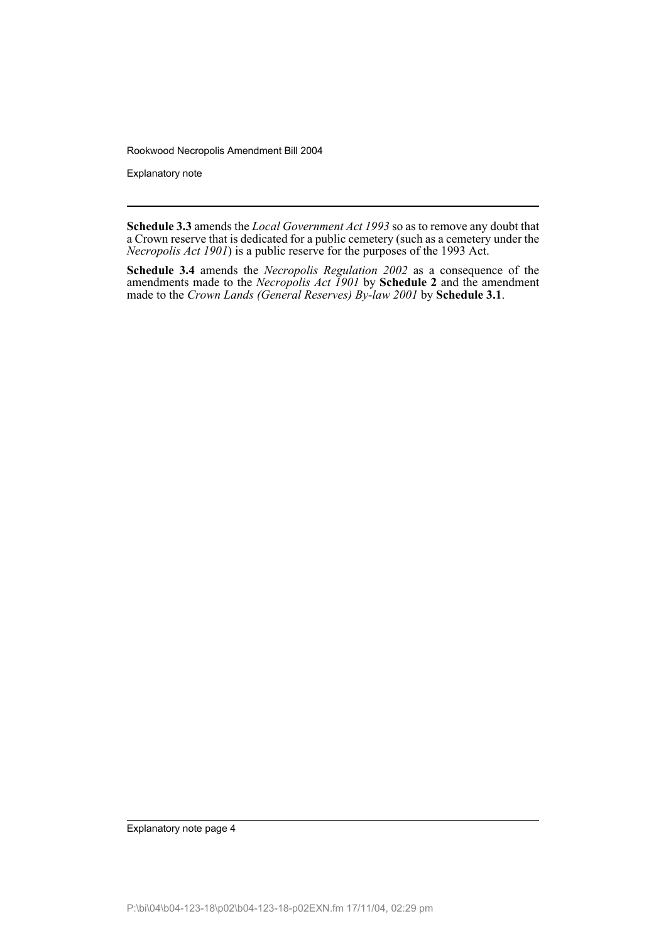Explanatory note

**Schedule 3.3** amends the *Local Government Act 1993* so as to remove any doubt that a Crown reserve that is dedicated for a public cemetery (such as a cemetery under the *Necropolis Act 1901*) is a public reserve for the purposes of the 1993 Act.

**Schedule 3.4** amends the *Necropolis Regulation 2002* as a consequence of the amendments made to the *Necropolis Act 1901* by **Schedule 2** and the amendment made to the *Crown Lands (General Reserves) By-law 2001* by **Schedule 3.1**.

Explanatory note page 4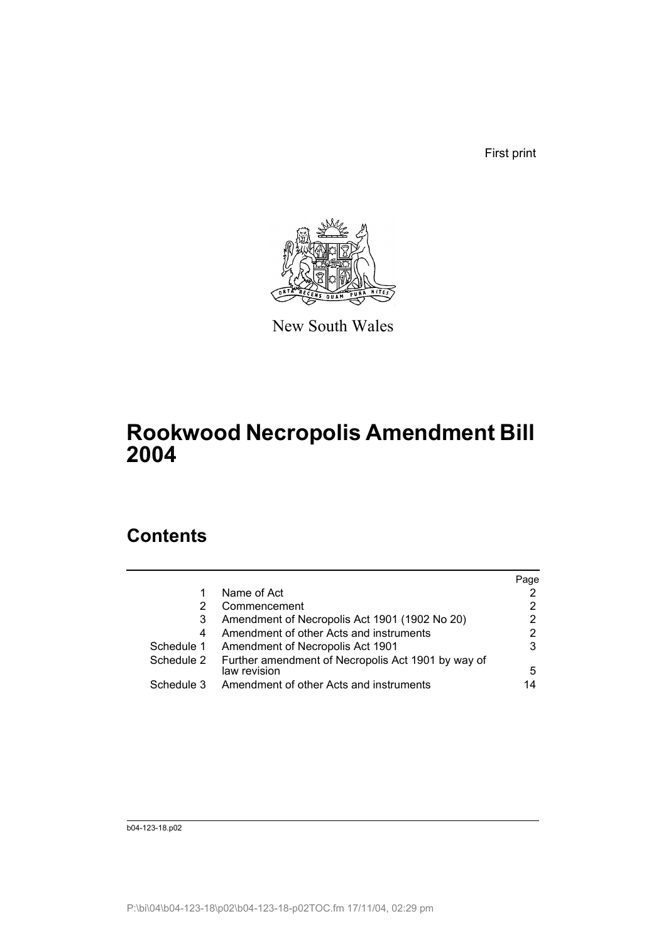First print



New South Wales

## **Rookwood Necropolis Amendment Bill 2004**

## **Contents**

|            |                                                                    | Page |
|------------|--------------------------------------------------------------------|------|
|            | Name of Act                                                        |      |
| 2          | Commencement                                                       | 2    |
| 3          | Amendment of Necropolis Act 1901 (1902 No 20)                      | 2    |
| 4          | Amendment of other Acts and instruments                            | 2    |
| Schedule 1 | Amendment of Necropolis Act 1901                                   | 3    |
| Schedule 2 | Further amendment of Necropolis Act 1901 by way of<br>law revision | 5    |
| Schedule 3 | Amendment of other Acts and instruments                            | 14   |

b04-123-18.p02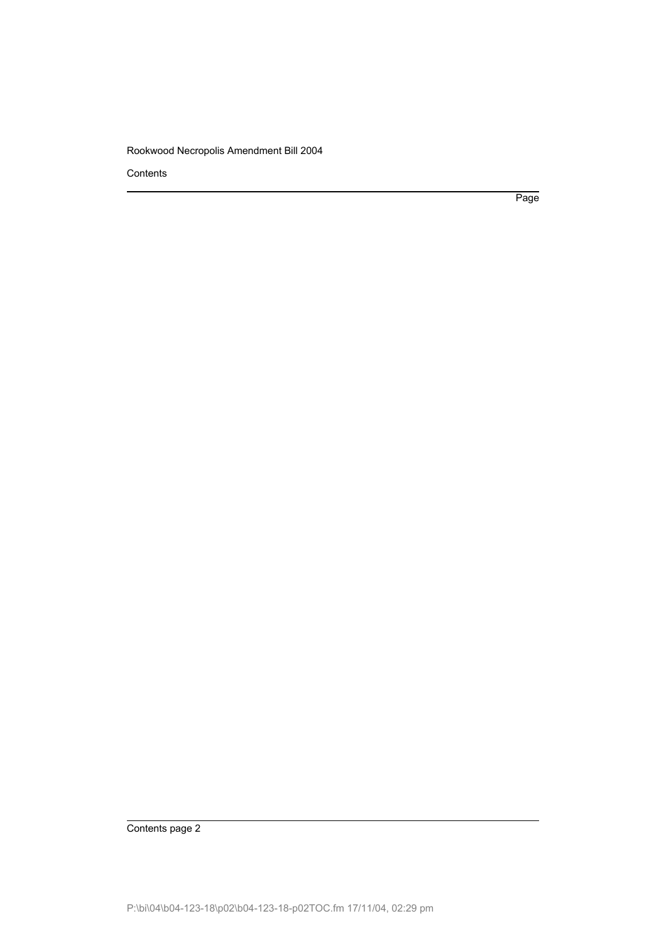**Contents** 

Page

Contents page 2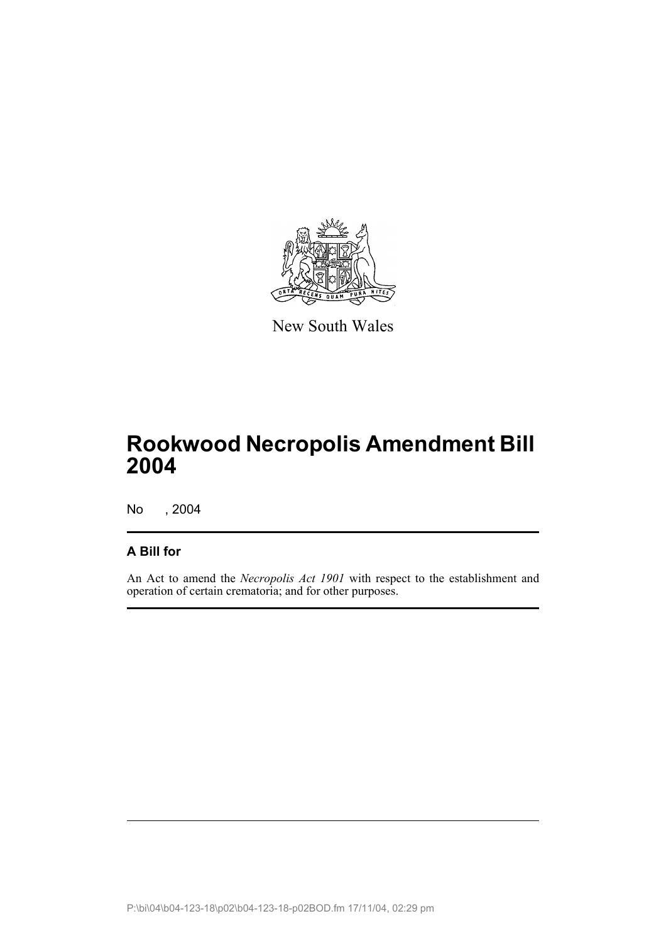

New South Wales

## **Rookwood Necropolis Amendment Bill 2004**

No , 2004

### **A Bill for**

An Act to amend the *Necropolis Act 1901* with respect to the establishment and operation of certain crematoria; and for other purposes.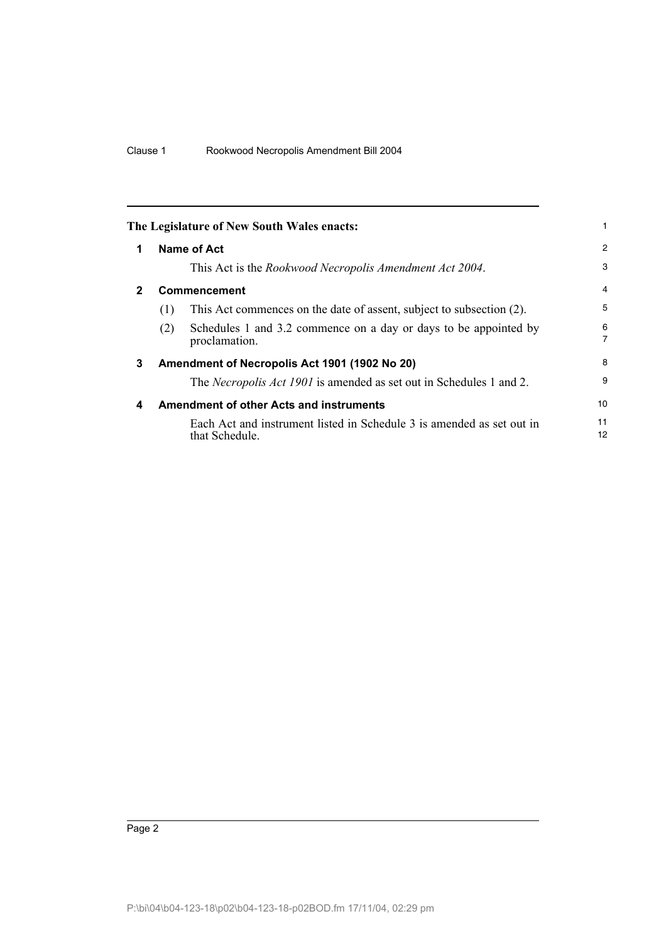<span id="page-7-3"></span><span id="page-7-2"></span><span id="page-7-1"></span><span id="page-7-0"></span>

|              |     | The Legislature of New South Wales enacts:                                              |                |
|--------------|-----|-----------------------------------------------------------------------------------------|----------------|
| 1            |     | Name of Act                                                                             | 2              |
|              |     | This Act is the Rookwood Necropolis Amendment Act 2004.                                 | 3              |
| $\mathbf{2}$ |     | <b>Commencement</b>                                                                     | $\overline{4}$ |
|              | (1) | This Act commences on the date of assent, subject to subsection (2).                    | 5              |
|              | (2) | Schedules 1 and 3.2 commence on a day or days to be appointed by<br>proclamation.       | 6<br>7         |
| 3            |     | Amendment of Necropolis Act 1901 (1902 No 20)                                           | 8              |
|              |     | The <i>Necropolis Act 1901</i> is amended as set out in Schedules 1 and 2.              | 9              |
| 4            |     | <b>Amendment of other Acts and instruments</b>                                          | 10             |
|              |     | Each Act and instrument listed in Schedule 3 is amended as set out in<br>that Schedule. | 11<br>12       |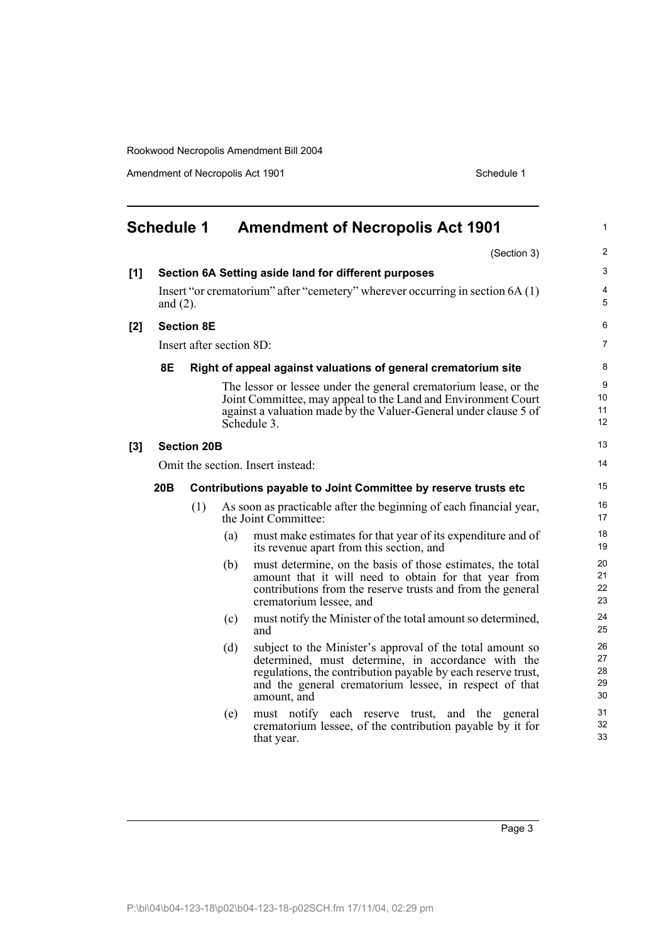Amendment of Necropolis Act 1901 Schedule 1

<span id="page-8-0"></span>

|       | <b>Schedule 1</b> |                          |     | <b>Amendment of Necropolis Act 1901</b>                                                                                                                                                                                                                  | $\mathbf{1}$               |
|-------|-------------------|--------------------------|-----|----------------------------------------------------------------------------------------------------------------------------------------------------------------------------------------------------------------------------------------------------------|----------------------------|
|       |                   |                          |     | (Section 3)                                                                                                                                                                                                                                              | 2                          |
| [1]   |                   |                          |     | Section 6A Setting aside land for different purposes                                                                                                                                                                                                     | 3                          |
|       | and $(2)$ .       |                          |     | Insert "or crematorium" after "cemetery" wherever occurring in section 6A (1)                                                                                                                                                                            | $\overline{4}$<br>5        |
| $[2]$ |                   | <b>Section 8E</b>        |     |                                                                                                                                                                                                                                                          | 6                          |
|       |                   | Insert after section 8D: |     |                                                                                                                                                                                                                                                          | 7                          |
|       | <b>8E</b>         |                          |     | Right of appeal against valuations of general crematorium site                                                                                                                                                                                           | 8                          |
|       |                   |                          |     | The lessor or lessee under the general crematorium lease, or the<br>Joint Committee, may appeal to the Land and Environment Court<br>against a valuation made by the Valuer-General under clause 5 of<br>Schedule 3.                                     | 9<br>10<br>11<br>12        |
| [3]   |                   | <b>Section 20B</b>       |     |                                                                                                                                                                                                                                                          | 13                         |
|       |                   |                          |     | Omit the section. Insert instead:                                                                                                                                                                                                                        | 14                         |
|       | 20B               |                          |     | Contributions payable to Joint Committee by reserve trusts etc                                                                                                                                                                                           | 15                         |
|       |                   | (1)                      |     | As soon as practicable after the beginning of each financial year,<br>the Joint Committee:                                                                                                                                                               | 16<br>17                   |
|       |                   |                          | (a) | must make estimates for that year of its expenditure and of<br>its revenue apart from this section, and                                                                                                                                                  | 18<br>19                   |
|       |                   |                          | (b) | must determine, on the basis of those estimates, the total<br>amount that it will need to obtain for that year from<br>contributions from the reserve trusts and from the general<br>crematorium lessee, and                                             | 20<br>21<br>22<br>23       |
|       |                   |                          | (c) | must notify the Minister of the total amount so determined,<br>and                                                                                                                                                                                       | 24<br>25                   |
|       |                   |                          | (d) | subject to the Minister's approval of the total amount so<br>determined, must determine, in accordance with the<br>regulations, the contribution payable by each reserve trust,<br>and the general crematorium lessee, in respect of that<br>amount, and | 26<br>27<br>28<br>29<br>30 |
|       |                   |                          | (e) | must notify each reserve trust, and the general<br>crematorium lessee, of the contribution payable by it for<br>that year.                                                                                                                               | 31<br>32<br>33             |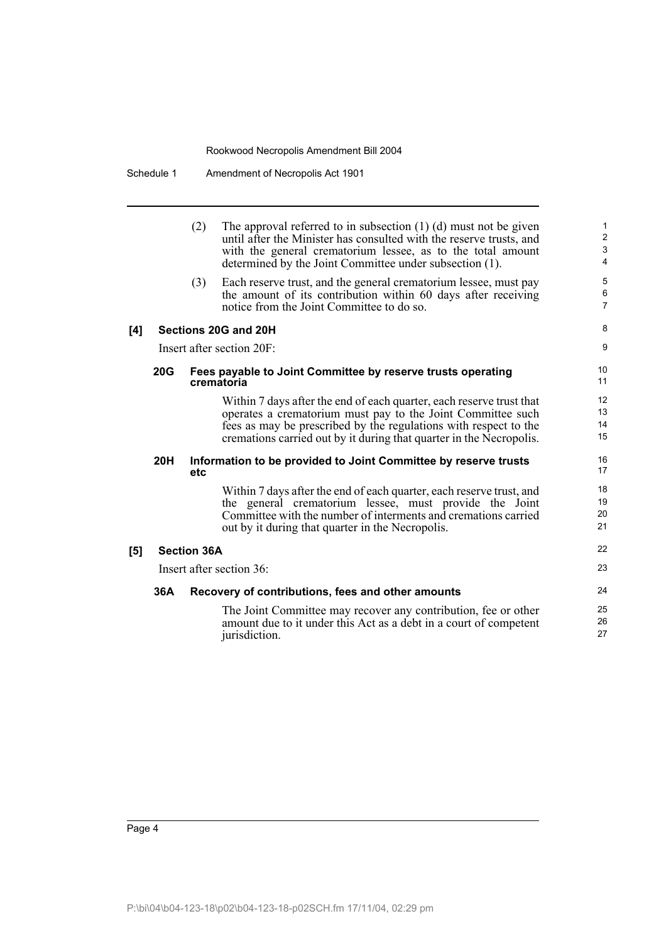|     |            | (2)                | The approval referred to in subsection $(1)$ $(d)$ must not be given<br>until after the Minister has consulted with the reserve trusts, and<br>with the general crematorium lessee, as to the total amount<br>determined by the Joint Committee under subsection (1).          | $\mathbf{1}$<br>$\overline{c}$<br>$\mathsf 3$<br>$\overline{4}$ |
|-----|------------|--------------------|--------------------------------------------------------------------------------------------------------------------------------------------------------------------------------------------------------------------------------------------------------------------------------|-----------------------------------------------------------------|
|     |            | (3)                | Each reserve trust, and the general crematorium lessee, must pay<br>the amount of its contribution within 60 days after receiving<br>notice from the Joint Committee to do so.                                                                                                 | 5<br>6<br>$\overline{7}$                                        |
| [4] |            |                    | Sections 20G and 20H                                                                                                                                                                                                                                                           | 8                                                               |
|     |            |                    | Insert after section 20F:                                                                                                                                                                                                                                                      | 9                                                               |
|     | <b>20G</b> |                    | Fees payable to Joint Committee by reserve trusts operating<br>crematoria                                                                                                                                                                                                      | 10<br>11                                                        |
|     |            |                    | Within 7 days after the end of each quarter, each reserve trust that<br>operates a crematorium must pay to the Joint Committee such<br>fees as may be prescribed by the regulations with respect to the<br>cremations carried out by it during that quarter in the Necropolis. | 12<br>13<br>14<br>15                                            |
|     | <b>20H</b> | etc                | Information to be provided to Joint Committee by reserve trusts                                                                                                                                                                                                                | 16<br>17                                                        |
|     |            |                    | Within 7 days after the end of each quarter, each reserve trust, and<br>the general crematorium lessee, must provide the Joint<br>Committee with the number of interments and cremations carried<br>out by it during that quarter in the Necropolis.                           | 18<br>19<br>20<br>21                                            |
| [5] |            | <b>Section 36A</b> |                                                                                                                                                                                                                                                                                | 22                                                              |
|     |            |                    | Insert after section 36:                                                                                                                                                                                                                                                       | 23                                                              |
|     | 36A        |                    | Recovery of contributions, fees and other amounts                                                                                                                                                                                                                              | 24                                                              |
|     |            |                    | The Joint Committee may recover any contribution, fee or other<br>amount due to it under this Act as a debt in a court of competent<br>jurisdiction.                                                                                                                           | 25<br>26<br>27                                                  |
|     |            |                    |                                                                                                                                                                                                                                                                                |                                                                 |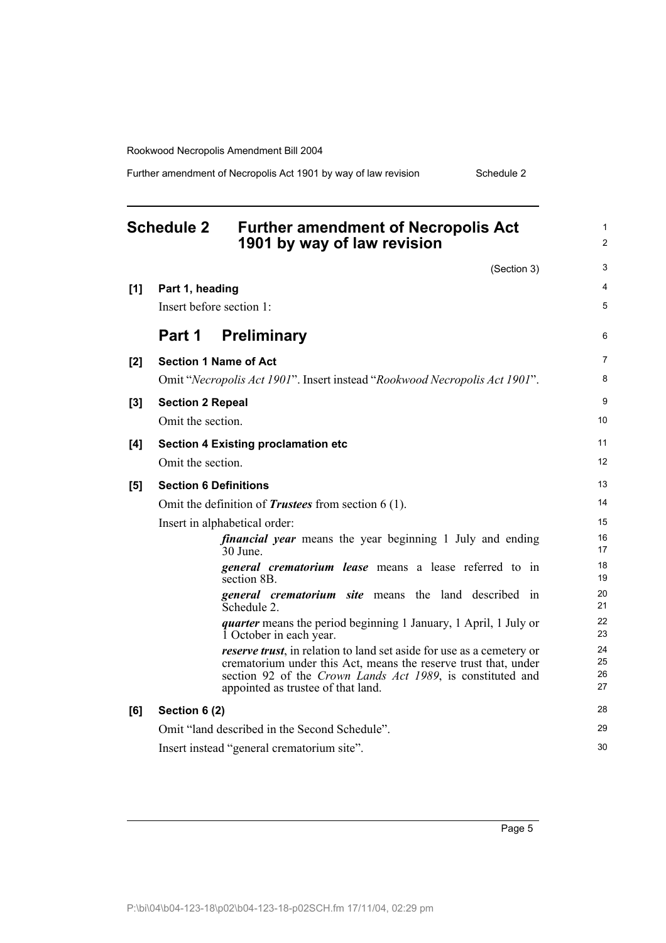Further amendment of Necropolis Act 1901 by way of law revision Schedule 2

<span id="page-10-0"></span>

|     | <b>Schedule 2</b><br><b>Further amendment of Necropolis Act</b><br>1901 by way of law revision                                                                                                                                               | 1<br>$\overline{2}$  |
|-----|----------------------------------------------------------------------------------------------------------------------------------------------------------------------------------------------------------------------------------------------|----------------------|
|     | (Section 3)                                                                                                                                                                                                                                  | 3                    |
| [1] | Part 1, heading                                                                                                                                                                                                                              | 4                    |
|     | Insert before section 1:                                                                                                                                                                                                                     | 5                    |
|     | Part 1<br><b>Preliminary</b>                                                                                                                                                                                                                 | 6                    |
| [2] | <b>Section 1 Name of Act</b>                                                                                                                                                                                                                 | 7                    |
|     | Omit "Necropolis Act 1901". Insert instead "Rookwood Necropolis Act 1901".                                                                                                                                                                   | 8                    |
| [3] | <b>Section 2 Repeal</b>                                                                                                                                                                                                                      | 9                    |
|     | Omit the section.                                                                                                                                                                                                                            | 10                   |
| [4] | <b>Section 4 Existing proclamation etc</b>                                                                                                                                                                                                   | 11                   |
|     | Omit the section.                                                                                                                                                                                                                            | 12                   |
| [5] | <b>Section 6 Definitions</b>                                                                                                                                                                                                                 | 13                   |
|     | Omit the definition of <i>Trustees</i> from section $6(1)$ .                                                                                                                                                                                 | 14                   |
|     | Insert in alphabetical order:                                                                                                                                                                                                                | 15                   |
|     | <i>financial year</i> means the year beginning 1 July and ending<br>$30$ June.                                                                                                                                                               | 16<br>17             |
|     | general crematorium lease means a lease referred to in<br>section 8B.                                                                                                                                                                        | 18<br>19             |
|     | <b>general crematorium site</b> means the land described in<br>Schedule 2.                                                                                                                                                                   | 20<br>21             |
|     | <i>quarter</i> means the period beginning 1 January, 1 April, 1 July or<br>1 October in each year.                                                                                                                                           | 22<br>23             |
|     | reserve trust, in relation to land set aside for use as a cemetery or<br>crematorium under this Act, means the reserve trust that, under<br>section 92 of the Crown Lands Act 1989, is constituted and<br>appointed as trustee of that land. | 24<br>25<br>26<br>27 |
| [6] | Section 6 (2)                                                                                                                                                                                                                                | 28                   |
|     | Omit "land described in the Second Schedule".                                                                                                                                                                                                | 29                   |
|     | Insert instead "general crematorium site".                                                                                                                                                                                                   | 30                   |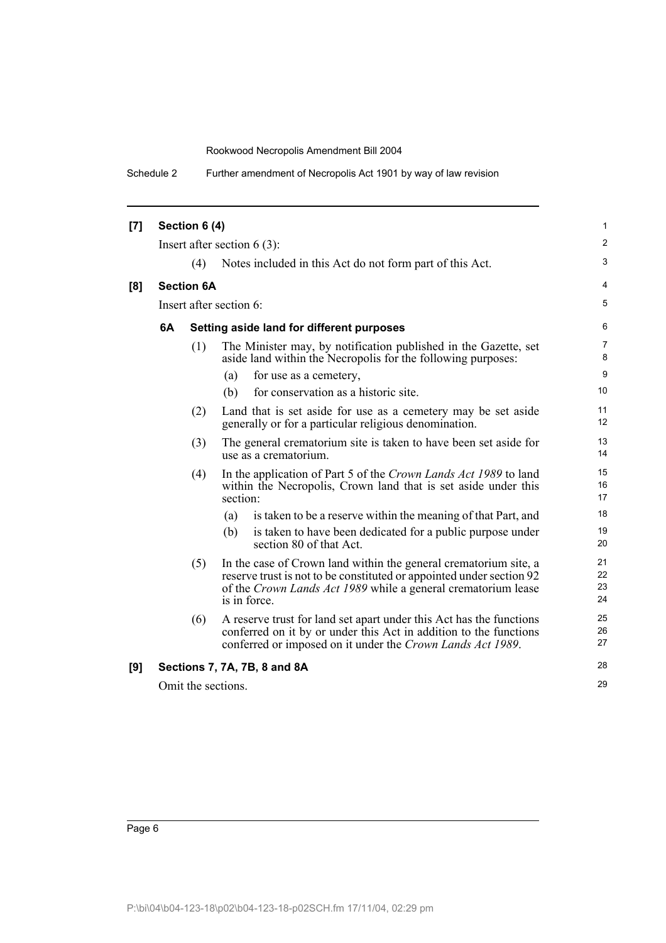| [7] |    | Section 6 (4)     |                                                                                                                                                                                                                           | $\mathbf{1}$         |
|-----|----|-------------------|---------------------------------------------------------------------------------------------------------------------------------------------------------------------------------------------------------------------------|----------------------|
|     |    |                   | Insert after section $6(3)$ :                                                                                                                                                                                             | $\overline{2}$       |
|     |    | (4)               | Notes included in this Act do not form part of this Act.                                                                                                                                                                  | 3                    |
| [8] |    | <b>Section 6A</b> |                                                                                                                                                                                                                           | 4                    |
|     |    |                   | Insert after section 6:                                                                                                                                                                                                   | 5                    |
|     | 6A |                   | Setting aside land for different purposes                                                                                                                                                                                 | 6                    |
|     |    | (1)               | The Minister may, by notification published in the Gazette, set<br>aside land within the Necropolis for the following purposes:                                                                                           | $\overline{7}$<br>8  |
|     |    |                   | (a)<br>for use as a cemetery,                                                                                                                                                                                             | 9                    |
|     |    |                   | for conservation as a historic site.<br>(b)                                                                                                                                                                               | 10                   |
|     |    | (2)               | Land that is set aside for use as a cemetery may be set aside<br>generally or for a particular religious denomination.                                                                                                    | 11<br>12             |
|     |    | (3)               | The general crematorium site is taken to have been set aside for<br>use as a crematorium.                                                                                                                                 | 13<br>14             |
|     |    | (4)               | In the application of Part 5 of the Crown Lands Act 1989 to land<br>within the Necropolis, Crown land that is set aside under this<br>section:                                                                            | 15<br>16<br>17       |
|     |    |                   | is taken to be a reserve within the meaning of that Part, and<br>(a)                                                                                                                                                      | 18                   |
|     |    |                   | (b)<br>is taken to have been dedicated for a public purpose under<br>section 80 of that Act.                                                                                                                              | 19<br>20             |
|     |    | (5)               | In the case of Crown land within the general crematorium site, a<br>reserve trust is not to be constituted or appointed under section 92<br>of the Crown Lands Act 1989 while a general crematorium lease<br>is in force. | 21<br>22<br>23<br>24 |
|     |    | (6)               | A reserve trust for land set apart under this Act has the functions<br>conferred on it by or under this Act in addition to the functions<br>conferred or imposed on it under the Crown Lands Act 1989.                    | 25<br>26<br>27       |
| [9] |    |                   | Sections 7, 7A, 7B, 8 and 8A                                                                                                                                                                                              | 28                   |
|     |    |                   | Omit the sections.                                                                                                                                                                                                        | 29                   |
|     |    |                   |                                                                                                                                                                                                                           |                      |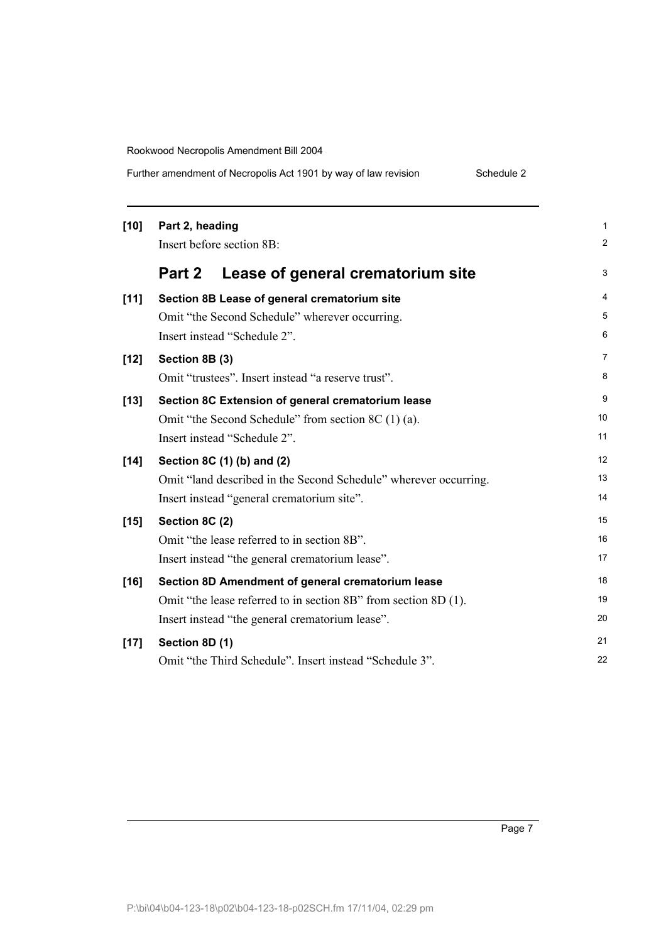Further amendment of Necropolis Act 1901 by way of law revision Schedule 2

| $[10]$ | Part 2, heading                                                  | 1              |
|--------|------------------------------------------------------------------|----------------|
|        | Insert before section 8B:                                        | 2              |
|        | Part 2<br>Lease of general crematorium site                      | 3              |
| $[11]$ | Section 8B Lease of general crematorium site                     | 4              |
|        | Omit "the Second Schedule" wherever occurring.                   | 5              |
|        | Insert instead "Schedule 2".                                     | 6              |
| $[12]$ | Section 8B (3)                                                   | $\overline{7}$ |
|        | Omit "trustees". Insert instead "a reserve trust".               | 8              |
| $[13]$ | Section 8C Extension of general crematorium lease                | 9              |
|        | Omit "the Second Schedule" from section 8C (1) (a).              | 10             |
|        | Insert instead "Schedule 2".                                     | 11             |
| $[14]$ | Section 8C (1) (b) and (2)                                       | 12             |
|        | Omit "land described in the Second Schedule" wherever occurring. | 13             |
|        | Insert instead "general crematorium site".                       | 14             |
| $[15]$ | Section 8C (2)                                                   | 15             |
|        | Omit "the lease referred to in section 8B".                      | 16             |
|        | Insert instead "the general crematorium lease".                  | 17             |
| $[16]$ | Section 8D Amendment of general crematorium lease                | 18             |
|        | Omit "the lease referred to in section 8B" from section 8D (1).  | 19             |
|        | Insert instead "the general crematorium lease".                  | 20             |
| $[17]$ | Section 8D (1)                                                   | 21             |
|        | Omit "the Third Schedule". Insert instead "Schedule 3".          | 22             |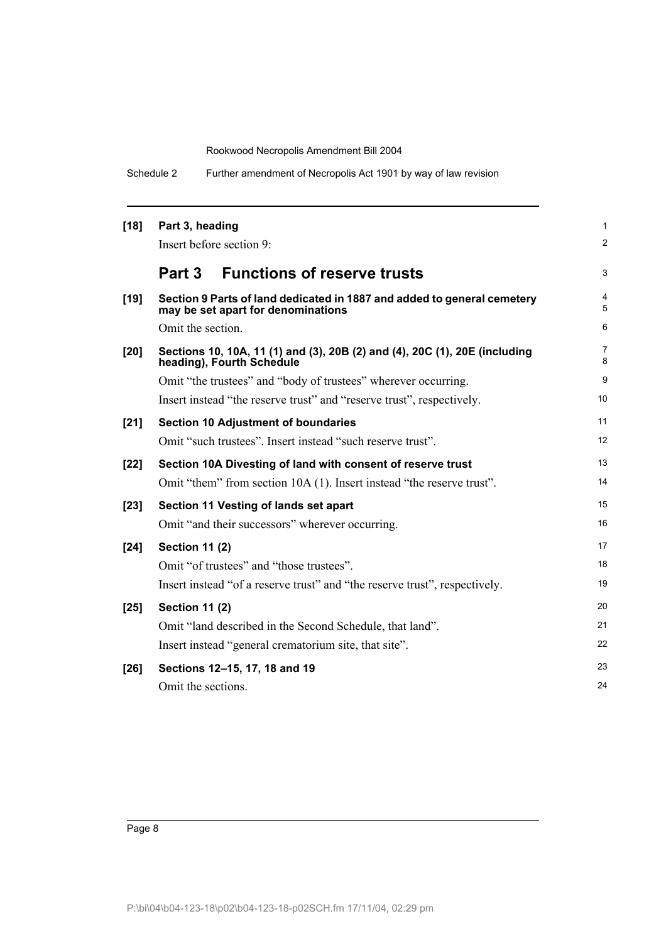| $[18]$ | Part 3, heading                                                                                               | 1      |
|--------|---------------------------------------------------------------------------------------------------------------|--------|
|        | Insert before section 9:                                                                                      | 2      |
|        | <b>Functions of reserve trusts</b><br>Part 3                                                                  | 3      |
| $[19]$ | Section 9 Parts of land dedicated in 1887 and added to general cemetery<br>may be set apart for denominations | 4<br>5 |
|        | Omit the section.                                                                                             | 6      |
| [20]   | Sections 10, 10A, 11 (1) and (3), 20B (2) and (4), 20C (1), 20E (including<br>heading), Fourth Schedule       | 7<br>8 |
|        | Omit "the trustees" and "body of trustees" wherever occurring.                                                | 9      |
|        | Insert instead "the reserve trust" and "reserve trust", respectively.                                         | 10     |
| $[21]$ | <b>Section 10 Adjustment of boundaries</b>                                                                    | 11     |
|        | Omit "such trustees". Insert instead "such reserve trust".                                                    | 12     |
| $[22]$ | Section 10A Divesting of land with consent of reserve trust                                                   | 13     |
|        | Omit "them" from section 10A (1). Insert instead "the reserve trust".                                         | 14     |
| $[23]$ | Section 11 Vesting of lands set apart                                                                         | 15     |
|        | Omit "and their successors" wherever occurring.                                                               | 16     |
| [24]   | <b>Section 11 (2)</b>                                                                                         | 17     |
|        | Omit "of trustees" and "those trustees".                                                                      | 18     |
|        | Insert instead "of a reserve trust" and "the reserve trust", respectively.                                    | 19     |
| $[25]$ | <b>Section 11 (2)</b>                                                                                         | 20     |
|        | Omit "land described in the Second Schedule, that land".                                                      | 21     |
|        | Insert instead "general crematorium site, that site".                                                         | 22     |
| $[26]$ | Sections 12-15, 17, 18 and 19                                                                                 | 23     |
|        | Omit the sections.                                                                                            | 24     |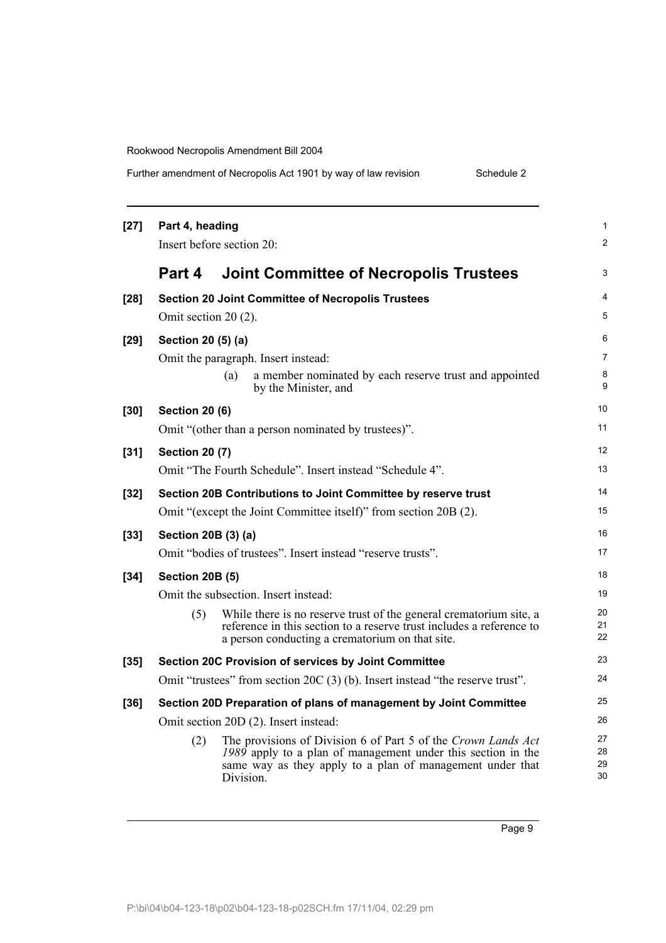| Further amendment of Necropolis Act 1901 by way of law revision<br>Schedule 2 |
|-------------------------------------------------------------------------------|
|-------------------------------------------------------------------------------|

| $[27]$ | Part 4, heading        | Insert before section 20:                                                                                                                                                                               |
|--------|------------------------|---------------------------------------------------------------------------------------------------------------------------------------------------------------------------------------------------------|
|        | Part 4                 | <b>Joint Committee of Necropolis Trustees</b>                                                                                                                                                           |
| $[28]$ | Omit section 20 (2).   | <b>Section 20 Joint Committee of Necropolis Trustees</b>                                                                                                                                                |
| $[29]$ | Section 20 (5) (a)     |                                                                                                                                                                                                         |
|        |                        | Omit the paragraph. Insert instead:<br>a member nominated by each reserve trust and appointed<br>(a)<br>by the Minister, and                                                                            |
| $[30]$ | <b>Section 20 (6)</b>  | Omit "(other than a person nominated by trustees)".                                                                                                                                                     |
| $[31]$ | <b>Section 20 (7)</b>  | Omit "The Fourth Schedule". Insert instead "Schedule 4".                                                                                                                                                |
| $[32]$ |                        | Section 20B Contributions to Joint Committee by reserve trust                                                                                                                                           |
|        |                        | Omit "(except the Joint Committee itself)" from section 20B (2).                                                                                                                                        |
| $[33]$ | Section 20B (3) (a)    |                                                                                                                                                                                                         |
|        |                        | Omit "bodies of trustees". Insert instead "reserve trusts".                                                                                                                                             |
| $[34]$ | <b>Section 20B (5)</b> |                                                                                                                                                                                                         |
|        |                        | Omit the subsection. Insert instead:                                                                                                                                                                    |
|        | (5)                    | While there is no reserve trust of the general crematorium site, a<br>reference in this section to a reserve trust includes a reference to<br>a person conducting a crematorium on that site.           |
| $[35]$ |                        | Section 20C Provision of services by Joint Committee                                                                                                                                                    |
|        |                        | Omit "trustees" from section 20C (3) (b). Insert instead "the reserve trust".                                                                                                                           |
| $[36]$ |                        | Section 20D Preparation of plans of management by Joint Committee                                                                                                                                       |
|        |                        | Omit section 20D (2). Insert instead:                                                                                                                                                                   |
|        | (2)                    | The provisions of Division 6 of Part 5 of the Crown Lands Act<br>1989 apply to a plan of management under this section in the<br>same way as they apply to a plan of management under that<br>Division. |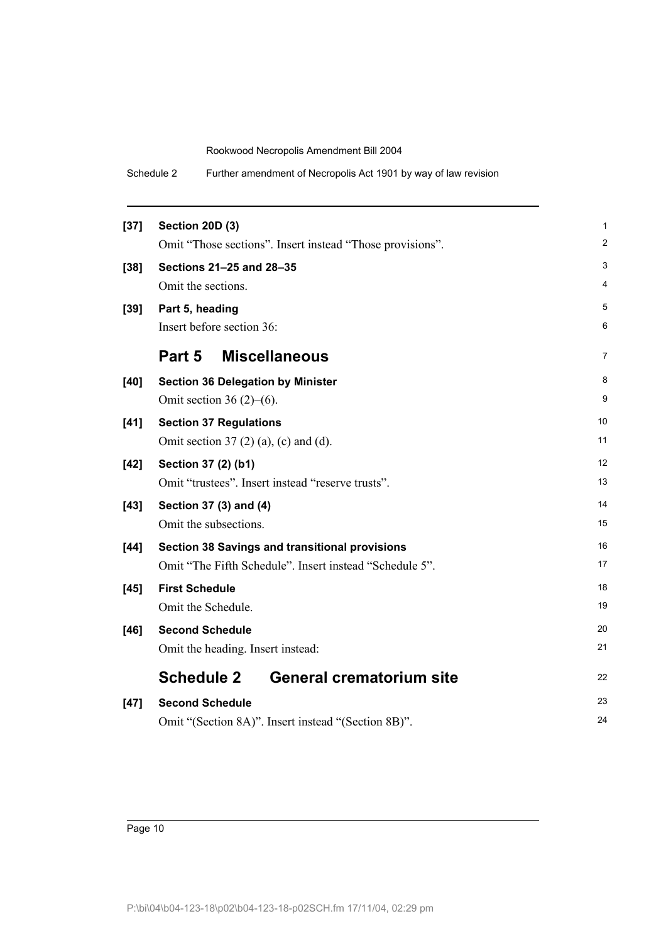| $[37]$ | <b>Section 20D (3)</b>                                    | 1              |
|--------|-----------------------------------------------------------|----------------|
|        | Omit "Those sections". Insert instead "Those provisions". | $\overline{2}$ |
| $[38]$ | Sections 21-25 and 28-35                                  | 3              |
|        | Omit the sections.                                        | 4              |
| $[39]$ | Part 5, heading                                           | 5              |
|        | Insert before section 36:                                 | 6              |
|        | <b>Miscellaneous</b><br>Part 5                            | 7              |
| [40]   | <b>Section 36 Delegation by Minister</b>                  | 8              |
|        | Omit section 36 $(2)$ – $(6)$ .                           | 9              |
| $[41]$ | <b>Section 37 Regulations</b>                             | 10             |
|        | Omit section 37 $(2)$ $(a)$ , $(c)$ and $(d)$ .           | 11             |
| $[42]$ | Section 37 (2) (b1)                                       | 12             |
|        | Omit "trustees". Insert instead "reserve trusts".         | 13             |
| $[43]$ | Section 37 (3) and (4)                                    | 14             |
|        | Omit the subsections.                                     | 15             |
| $[44]$ | <b>Section 38 Savings and transitional provisions</b>     | 16             |
|        | Omit "The Fifth Schedule". Insert instead "Schedule 5".   | 17             |
| $[45]$ | <b>First Schedule</b>                                     | 18             |
|        | Omit the Schedule.                                        | 19             |
| $[46]$ | <b>Second Schedule</b>                                    | 20             |
|        | Omit the heading. Insert instead:                         | 21             |
|        | <b>Schedule 2</b><br><b>General crematorium site</b>      | 22             |
| $[47]$ | <b>Second Schedule</b>                                    | 23             |
|        | Omit "(Section 8A)". Insert instead "(Section 8B)".       | 24             |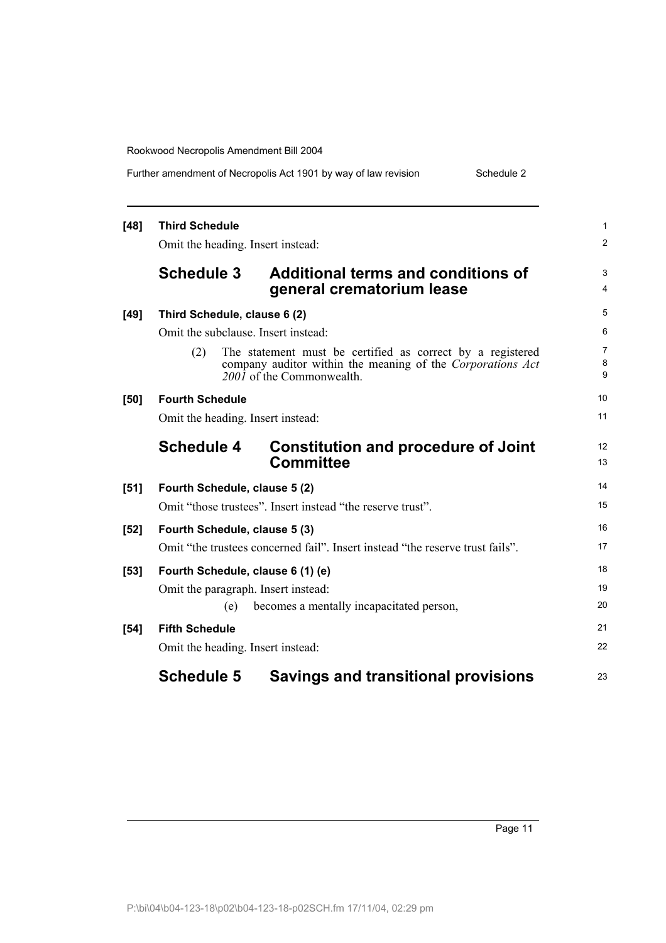| Further amendment of Necropolis Act 1901 by way of law revision |  |  | Schedule 2 |
|-----------------------------------------------------------------|--|--|------------|
|-----------------------------------------------------------------|--|--|------------|

| $[48]$ | <b>Third Schedule</b><br>Omit the heading. Insert instead:                                                                                                   | $\mathbf{1}$<br>$\overline{2}$ |  |  |  |
|--------|--------------------------------------------------------------------------------------------------------------------------------------------------------------|--------------------------------|--|--|--|
|        | <b>Schedule 3</b><br><b>Additional terms and conditions of</b><br>general crematorium lease                                                                  | 3<br>4                         |  |  |  |
| $[49]$ | Third Schedule, clause 6 (2)                                                                                                                                 | 5                              |  |  |  |
|        | Omit the subclause. Insert instead:                                                                                                                          | 6                              |  |  |  |
|        | The statement must be certified as correct by a registered<br>(2)<br>company auditor within the meaning of the Corporations Act<br>2001 of the Commonwealth. | $\overline{7}$<br>8<br>9       |  |  |  |
| [50]   | <b>Fourth Schedule</b>                                                                                                                                       | 10                             |  |  |  |
|        | Omit the heading. Insert instead:                                                                                                                            |                                |  |  |  |
|        | <b>Schedule 4</b><br><b>Constitution and procedure of Joint</b><br><b>Committee</b>                                                                          | 12<br>13                       |  |  |  |
| [51]   | Fourth Schedule, clause 5 (2)                                                                                                                                | 14                             |  |  |  |
|        | Omit "those trustees". Insert instead "the reserve trust".                                                                                                   | 15                             |  |  |  |
| $[52]$ | Fourth Schedule, clause 5 (3)                                                                                                                                |                                |  |  |  |
|        | Omit "the trustees concerned fail". Insert instead "the reserve trust fails".                                                                                | 17                             |  |  |  |
| $[53]$ | Fourth Schedule, clause 6 (1) (e)                                                                                                                            | 18                             |  |  |  |
|        | Omit the paragraph. Insert instead:                                                                                                                          | 19                             |  |  |  |
|        | becomes a mentally incapacitated person,<br>(e)                                                                                                              | 20                             |  |  |  |
| $[54]$ | <b>Fifth Schedule</b>                                                                                                                                        | 21                             |  |  |  |
|        | Omit the heading. Insert instead:                                                                                                                            | 22                             |  |  |  |
|        | <b>Schedule 5</b><br><b>Savings and transitional provisions</b>                                                                                              | 23                             |  |  |  |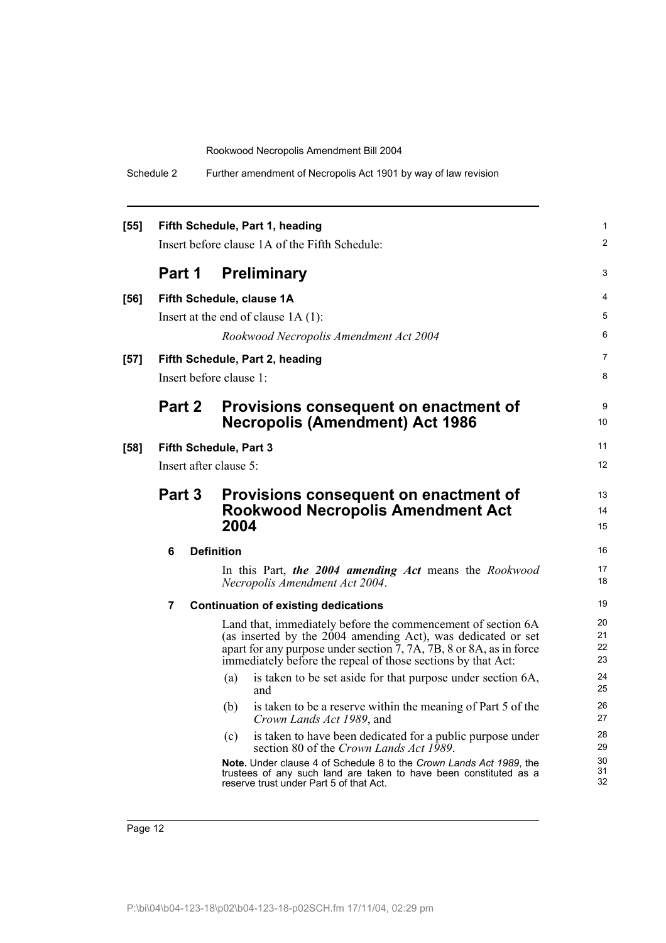| $[55]$ | Fifth Schedule, Part 1, heading<br>Insert before clause 1A of the Fifth Schedule: |  |                                          |                                                                                                                                                                                                                                                                     | 1<br>2               |  |  |
|--------|-----------------------------------------------------------------------------------|--|------------------------------------------|---------------------------------------------------------------------------------------------------------------------------------------------------------------------------------------------------------------------------------------------------------------------|----------------------|--|--|
|        |                                                                                   |  |                                          |                                                                                                                                                                                                                                                                     |                      |  |  |
|        | Part 1                                                                            |  |                                          | <b>Preliminary</b>                                                                                                                                                                                                                                                  | 3                    |  |  |
| $[56]$ |                                                                                   |  |                                          | Fifth Schedule, clause 1A                                                                                                                                                                                                                                           | 4                    |  |  |
|        |                                                                                   |  |                                          | Insert at the end of clause $1A(1)$ :                                                                                                                                                                                                                               | 5                    |  |  |
|        |                                                                                   |  |                                          | Rookwood Necropolis Amendment Act 2004                                                                                                                                                                                                                              | 6                    |  |  |
| $[57]$ |                                                                                   |  |                                          | Fifth Schedule, Part 2, heading                                                                                                                                                                                                                                     | 7                    |  |  |
|        | Insert before clause 1:                                                           |  |                                          |                                                                                                                                                                                                                                                                     |                      |  |  |
|        | Part 2                                                                            |  |                                          | Provisions consequent on enactment of                                                                                                                                                                                                                               | 9                    |  |  |
|        |                                                                                   |  |                                          | <b>Necropolis (Amendment) Act 1986</b>                                                                                                                                                                                                                              | 10                   |  |  |
| $[58]$ |                                                                                   |  | Fifth Schedule, Part 3                   |                                                                                                                                                                                                                                                                     | 11                   |  |  |
|        | Insert after clause 5:                                                            |  |                                          |                                                                                                                                                                                                                                                                     |                      |  |  |
|        | Part 3                                                                            |  | Provisions consequent on enactment of    | 13                                                                                                                                                                                                                                                                  |                      |  |  |
|        |                                                                                   |  | <b>Rookwood Necropolis Amendment Act</b> |                                                                                                                                                                                                                                                                     | 14                   |  |  |
|        |                                                                                   |  |                                          | 2004                                                                                                                                                                                                                                                                | 15                   |  |  |
|        | 6                                                                                 |  | <b>Definition</b>                        |                                                                                                                                                                                                                                                                     | 16                   |  |  |
|        |                                                                                   |  |                                          | In this Part, the 2004 amending Act means the Rookwood<br>Necropolis Amendment Act 2004.                                                                                                                                                                            | 17<br>18             |  |  |
|        | 7                                                                                 |  |                                          | <b>Continuation of existing dedications</b>                                                                                                                                                                                                                         | 19                   |  |  |
|        |                                                                                   |  |                                          | Land that, immediately before the commencement of section 6A<br>(as inserted by the 2004 amending Act), was dedicated or set<br>apart for any purpose under section 7, 7A, 7B, 8 or 8A, as in force<br>immediately before the repeal of those sections by that Act: | 20<br>21<br>22<br>23 |  |  |
|        |                                                                                   |  | (a)                                      | is taken to be set aside for that purpose under section 6A,<br>and                                                                                                                                                                                                  | 24<br>25             |  |  |
|        |                                                                                   |  | (b)                                      | is taken to be a reserve within the meaning of Part 5 of the<br>Crown Lands Act 1989, and                                                                                                                                                                           | 26<br>27             |  |  |
|        |                                                                                   |  | (c)                                      | is taken to have been dedicated for a public purpose under<br>section 80 of the Crown Lands Act 1989.                                                                                                                                                               | 28<br>29             |  |  |
|        |                                                                                   |  |                                          | Note. Under clause 4 of Schedule 8 to the Crown Lands Act 1989, the<br>trustees of any such land are taken to have been constituted as a<br>reserve trust under Part 5 of that Act.                                                                                 | 30<br>31<br>32       |  |  |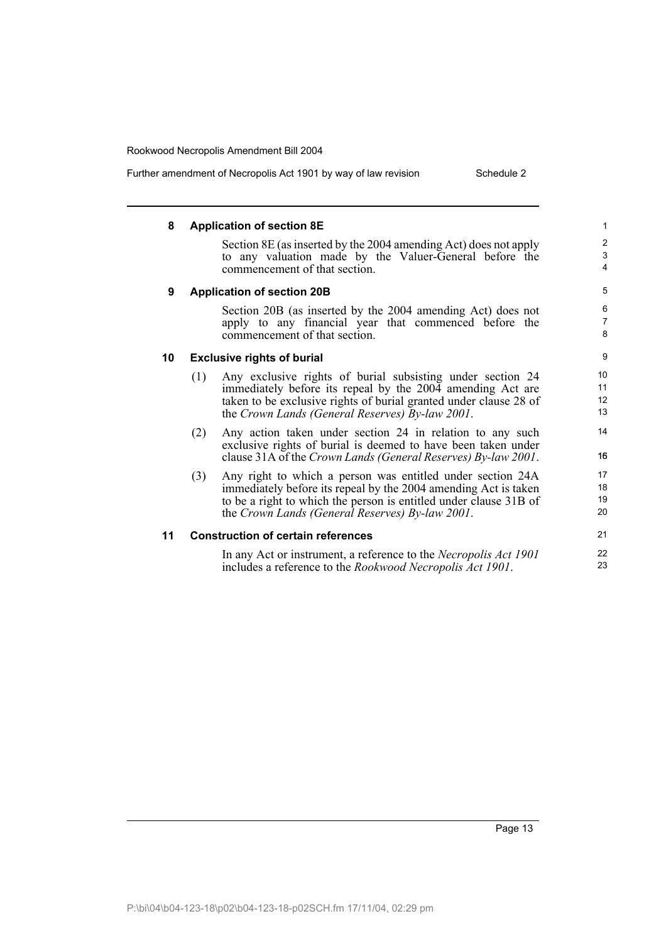Further amendment of Necropolis Act 1901 by way of law revision Schedule 2

#### **8 Application of section 8E** Section 8E (as inserted by the 2004 amending Act) does not apply to any valuation made by the Valuer-General before the commencement of that section. **9 Application of section 20B** Section 20B (as inserted by the 2004 amending Act) does not apply to any financial year that commenced before the commencement of that section. **10 Exclusive rights of burial** (1) Any exclusive rights of burial subsisting under section 24 immediately before its repeal by the 2004 amending Act are taken to be exclusive rights of burial granted under clause 28 of the *Crown Lands (General Reserves) By-law 2001*. (2) Any action taken under section 24 in relation to any such exclusive rights of burial is deemed to have been taken under clause 31A of the *Crown Lands (General Reserves) By-law 2001*. (3) Any right to which a person was entitled under section 24A immediately before its repeal by the 2004 amending Act is taken to be a right to which the person is entitled under clause 31B of the *Crown Lands (General Reserves) By-law 2001*. **11 Construction of certain references** In any Act or instrument, a reference to the *Necropolis Act 1901* includes a reference to the *Rookwood Necropolis Act 1901*. 1  $\overline{2}$ 3 4 5 6 7 8 9 10 11 12 13 14 156 17 18 19  $20$ 21 22 23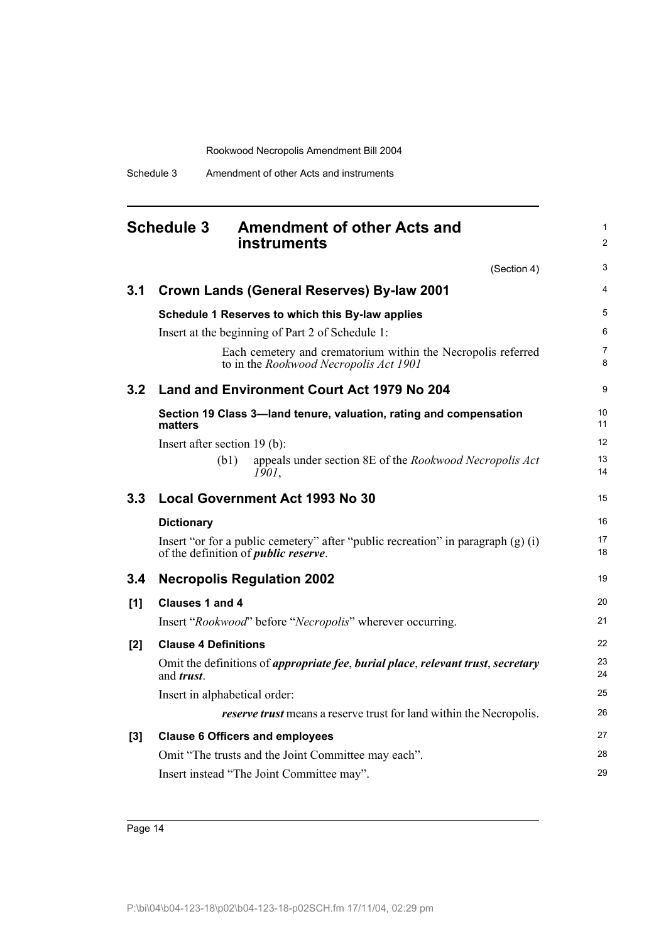Schedule 3 Amendment of other Acts and instruments

<span id="page-19-0"></span>

|       | <b>Schedule 3</b><br><b>Amendment of other Acts and</b><br><b>instruments</b>                                                                              | 1<br>$\overline{2}$ |  |  |  |
|-------|------------------------------------------------------------------------------------------------------------------------------------------------------------|---------------------|--|--|--|
|       | (Section 4)                                                                                                                                                | 3                   |  |  |  |
| 3.1   | <b>Crown Lands (General Reserves) By-law 2001</b>                                                                                                          |                     |  |  |  |
|       | Schedule 1 Reserves to which this By-law applies                                                                                                           | 5                   |  |  |  |
|       | Insert at the beginning of Part 2 of Schedule 1:<br>Each cemetery and crematorium within the Necropolis referred<br>to in the Rookwood Necropolis Act 1901 | 6<br>7<br>8         |  |  |  |
| 3.2   | Land and Environment Court Act 1979 No 204                                                                                                                 | 9                   |  |  |  |
|       | Section 19 Class 3-land tenure, valuation, rating and compensation<br>matters                                                                              | 10<br>11            |  |  |  |
|       | Insert after section 19 (b):                                                                                                                               | 12                  |  |  |  |
|       | (b1)<br>appeals under section 8E of the Rookwood Necropolis Act<br>1901,                                                                                   | 13<br>14            |  |  |  |
| 3.3   | <b>Local Government Act 1993 No 30</b>                                                                                                                     | 15                  |  |  |  |
|       | <b>Dictionary</b>                                                                                                                                          | 16                  |  |  |  |
|       | Insert "or for a public cemetery" after "public recreation" in paragraph $(g)$ (i)<br>of the definition of <i>public reserve</i> .                         | 17<br>18            |  |  |  |
| 3.4   | <b>Necropolis Regulation 2002</b>                                                                                                                          | 19                  |  |  |  |
| [1]   | Clauses 1 and 4                                                                                                                                            | 20                  |  |  |  |
|       | Insert "Rookwood" before "Necropolis" wherever occurring.                                                                                                  | 21                  |  |  |  |
| [2]   | <b>Clause 4 Definitions</b>                                                                                                                                | 22                  |  |  |  |
|       | Omit the definitions of appropriate fee, burial place, relevant trust, secretary<br>and <i>trust</i> .                                                     | 23<br>24            |  |  |  |
|       | Insert in alphabetical order:                                                                                                                              | 25                  |  |  |  |
|       | <i>reserve trust</i> means a reserve trust for land within the Necropolis.                                                                                 | 26                  |  |  |  |
| $[3]$ | <b>Clause 6 Officers and employees</b>                                                                                                                     | 27                  |  |  |  |
|       | Omit "The trusts and the Joint Committee may each".                                                                                                        | 28                  |  |  |  |
|       | Insert instead "The Joint Committee may".                                                                                                                  | 29                  |  |  |  |